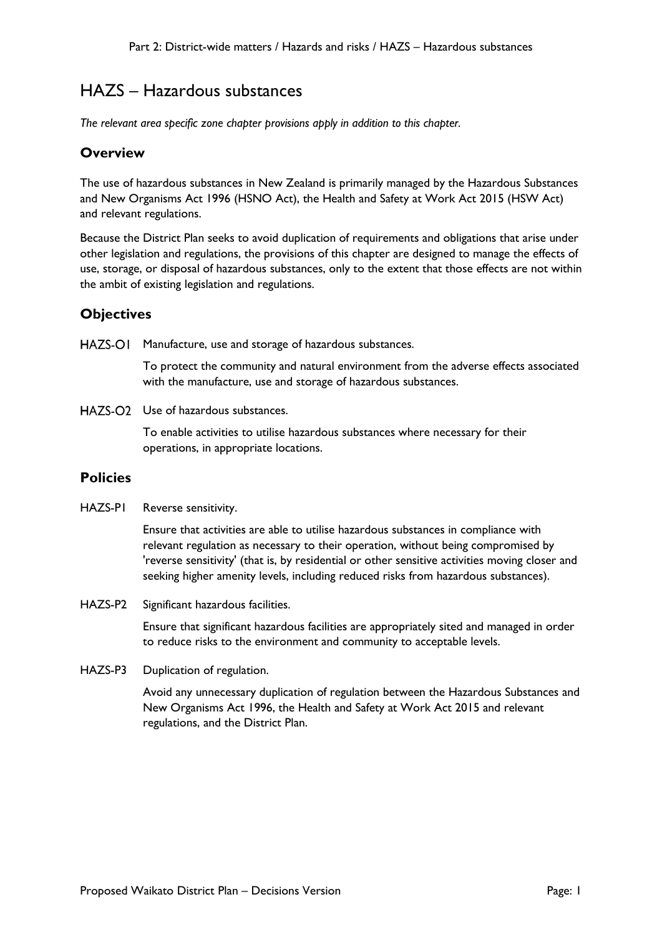# HAZS – Hazardous substances

*The relevant area specific zone chapter provisions apply in addition to this chapter.*

### **Overview**

The use of hazardous substances in New Zealand is primarily managed by the Hazardous Substances and New Organisms Act 1996 (HSNO Act), the Health and Safety at Work Act 2015 (HSW Act) and relevant regulations.

Because the District Plan seeks to avoid duplication of requirements and obligations that arise under other legislation and regulations, the provisions of this chapter are designed to manage the effects of use, storage, or disposal of hazardous substances, only to the extent that those effects are not within the ambit of existing legislation and regulations.

## **Objectives**

HAZS-OI Manufacture, use and storage of hazardous substances.

To protect the community and natural environment from the adverse effects associated with the manufacture, use and storage of hazardous substances.

HAZS-O<sub>2</sub> Use of hazardous substances.

To enable activities to utilise hazardous substances where necessary for their operations, in appropriate locations.

### **Policies**

HAZS-P1 Reverse sensitivity.

Ensure that activities are able to utilise hazardous substances in compliance with relevant regulation as necessary to their operation, without being compromised by 'reverse sensitivity' (that is, by residential or other sensitive activities moving closer and seeking higher amenity levels, including reduced risks from hazardous substances).

HAZS-P2 Significant hazardous facilities.

Ensure that significant hazardous facilities are appropriately sited and managed in order to reduce risks to the environment and community to acceptable levels.

HAZS-P3 Duplication of regulation.

Avoid any unnecessary duplication of regulation between the Hazardous Substances and New Organisms Act 1996, the Health and Safety at Work Act 2015 and relevant regulations, and the District Plan.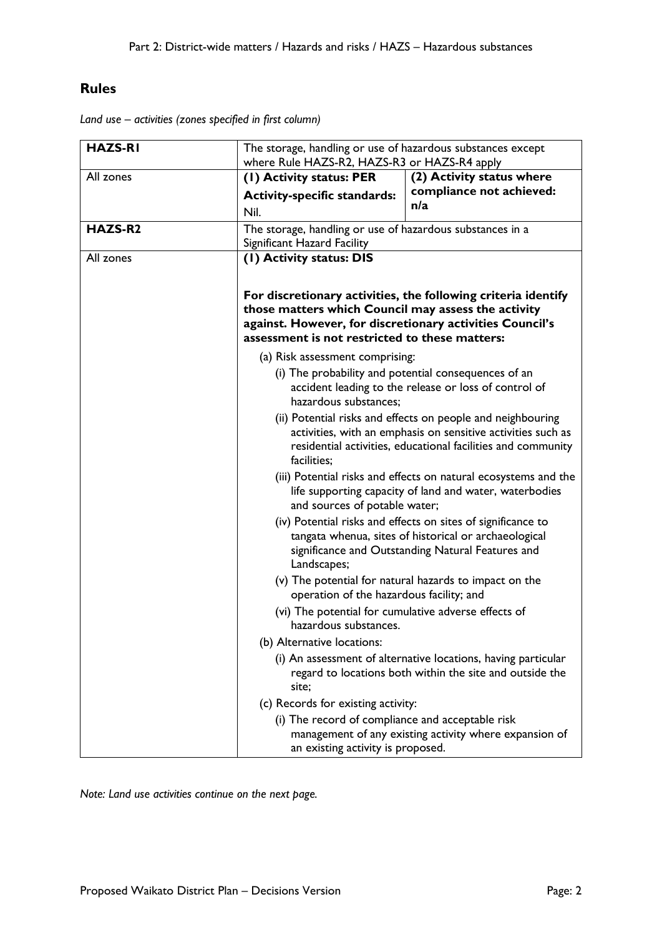## **Rules**

*Land use – activities (zones specified in first column)*

| <b>HAZS-RI</b> | The storage, handling or use of hazardous substances except<br>where Rule HAZS-R2, HAZS-R3 or HAZS-R4 apply                                                                                                                        |                                                                                                                                                                            |
|----------------|------------------------------------------------------------------------------------------------------------------------------------------------------------------------------------------------------------------------------------|----------------------------------------------------------------------------------------------------------------------------------------------------------------------------|
| All zones      | (1) Activity status: PER                                                                                                                                                                                                           | (2) Activity status where                                                                                                                                                  |
|                | <b>Activity-specific standards:</b>                                                                                                                                                                                                | compliance not achieved:                                                                                                                                                   |
|                | Nil.                                                                                                                                                                                                                               | n/a                                                                                                                                                                        |
| HAZS-R2        | The storage, handling or use of hazardous substances in a                                                                                                                                                                          |                                                                                                                                                                            |
|                | Significant Hazard Facility                                                                                                                                                                                                        |                                                                                                                                                                            |
| All zones      | (1) Activity status: DIS                                                                                                                                                                                                           |                                                                                                                                                                            |
|                | For discretionary activities, the following criteria identify<br>those matters which Council may assess the activity<br>against. However, for discretionary activities Council's<br>assessment is not restricted to these matters: |                                                                                                                                                                            |
|                | (a) Risk assessment comprising:                                                                                                                                                                                                    |                                                                                                                                                                            |
|                | (i) The probability and potential consequences of an<br>accident leading to the release or loss of control of<br>hazardous substances;                                                                                             |                                                                                                                                                                            |
|                | (ii) Potential risks and effects on people and neighbouring<br>activities, with an emphasis on sensitive activities such as<br>residential activities, educational facilities and community<br>facilities;                         |                                                                                                                                                                            |
|                | and sources of potable water;                                                                                                                                                                                                      | (iii) Potential risks and effects on natural ecosystems and the<br>life supporting capacity of land and water, waterbodies                                                 |
|                | Landscapes;                                                                                                                                                                                                                        | (iv) Potential risks and effects on sites of significance to<br>tangata whenua, sites of historical or archaeological<br>significance and Outstanding Natural Features and |
|                | operation of the hazardous facility; and                                                                                                                                                                                           | (v) The potential for natural hazards to impact on the                                                                                                                     |
|                | (vi) The potential for cumulative adverse effects of<br>hazardous substances.                                                                                                                                                      |                                                                                                                                                                            |
|                | (b) Alternative locations:                                                                                                                                                                                                         |                                                                                                                                                                            |
|                | site;                                                                                                                                                                                                                              | (i) An assessment of alternative locations, having particular<br>regard to locations both within the site and outside the                                                  |
|                | (c) Records for existing activity:                                                                                                                                                                                                 |                                                                                                                                                                            |
|                | (i) The record of compliance and acceptable risk<br>an existing activity is proposed.                                                                                                                                              | management of any existing activity where expansion of                                                                                                                     |

*Note: Land use activities continue on the next page.*